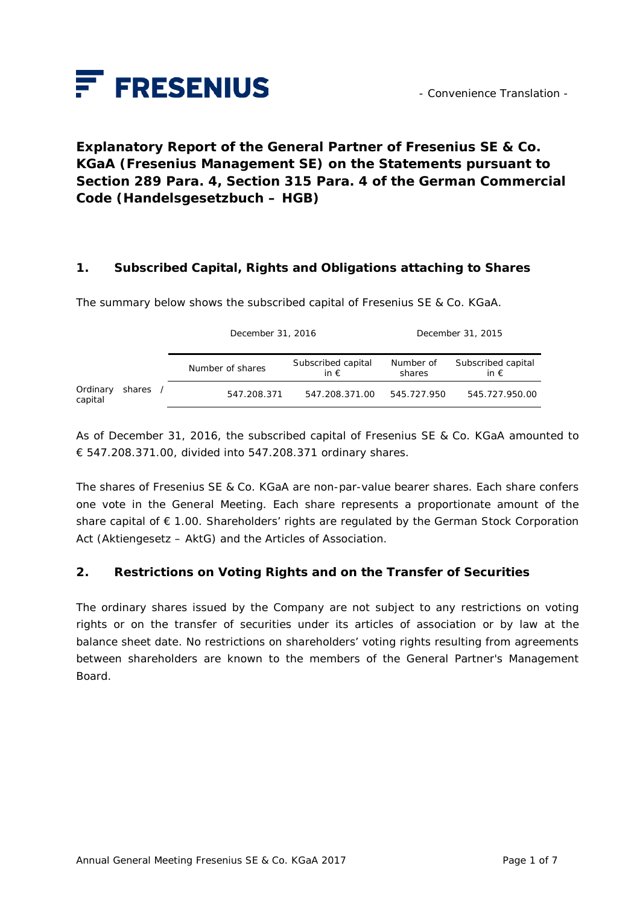

# **Explanatory Report of the General Partner of Fresenius SE & Co. KGaA (Fresenius Management SE) on the Statements pursuant to Section 289 Para. 4, Section 315 Para. 4 of the German Commercial Code (***Handelsgesetzbuch – HGB***)**

#### **1. Subscribed Capital, Rights and Obligations attaching to Shares**

The summary below shows the subscribed capital of Fresenius SE & Co. KGaA.

|                     |        | December 31, 2016 |                                     | December 31, 2015   |                                     |
|---------------------|--------|-------------------|-------------------------------------|---------------------|-------------------------------------|
|                     |        | Number of shares  | Subscribed capital<br>in $\epsilon$ | Number of<br>shares | Subscribed capital<br>in $\epsilon$ |
| Ordinary<br>capital | shares | 547.208.371       | 547.208.371.00                      | 545.727.950         | 545.727.950.00                      |

As of December 31, 2016, the subscribed capital of Fresenius SE & Co. KGaA amounted to € 547.208.371.00, divided into 547.208.371 ordinary shares.

The shares of Fresenius SE & Co. KGaA are non-par-value bearer shares. Each share confers one vote in the General Meeting. Each share represents a proportionate amount of the share capital of € 1.00. Shareholders' rights are regulated by the German Stock Corporation Act (*Aktiengesetz – AktG*) and the Articles of Association.

#### **2. Restrictions on Voting Rights and on the Transfer of Securities**

The ordinary shares issued by the Company are not subject to any restrictions on voting rights or on the transfer of securities under its articles of association or by law at the balance sheet date. No restrictions on shareholders' voting rights resulting from agreements between shareholders are known to the members of the General Partner's Management Board.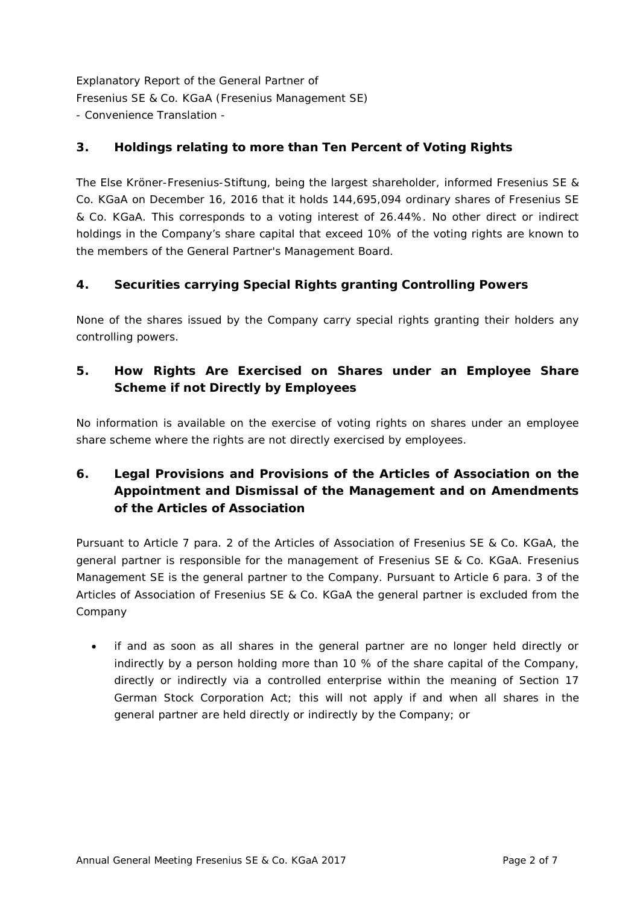### **3. Holdings relating to more than Ten Percent of Voting Rights**

The Else Kröner-Fresenius-Stiftung, being the largest shareholder, informed Fresenius SE & Co. KGaA on December 16, 2016 that it holds 144,695,094 ordinary shares of Fresenius SE & Co. KGaA. This corresponds to a voting interest of 26.44%. No other direct or indirect holdings in the Company's share capital that exceed 10% of the voting rights are known to the members of the General Partner's Management Board.

### **4. Securities carrying Special Rights granting Controlling Powers**

None of the shares issued by the Company carry special rights granting their holders any controlling powers.

## **5. How Rights Are Exercised on Shares under an Employee Share Scheme if not Directly by Employees**

No information is available on the exercise of voting rights on shares under an employee share scheme where the rights are not directly exercised by employees.

## **6. Legal Provisions and Provisions of the Articles of Association on the Appointment and Dismissal of the Management and on Amendments of the Articles of Association**

Pursuant to Article 7 para. 2 of the Articles of Association of Fresenius SE & Co. KGaA, the general partner is responsible for the management of Fresenius SE & Co. KGaA. Fresenius Management SE is the general partner to the Company. Pursuant to Article 6 para. 3 of the Articles of Association of Fresenius SE & Co. KGaA the general partner is excluded from the Company

• if and as soon as all shares in the general partner are no longer held directly or indirectly by a person holding more than 10 % of the share capital of the Company, directly or indirectly via a controlled enterprise within the meaning of Section 17 German Stock Corporation Act; this will not apply if and when all shares in the general partner are held directly or indirectly by the Company; or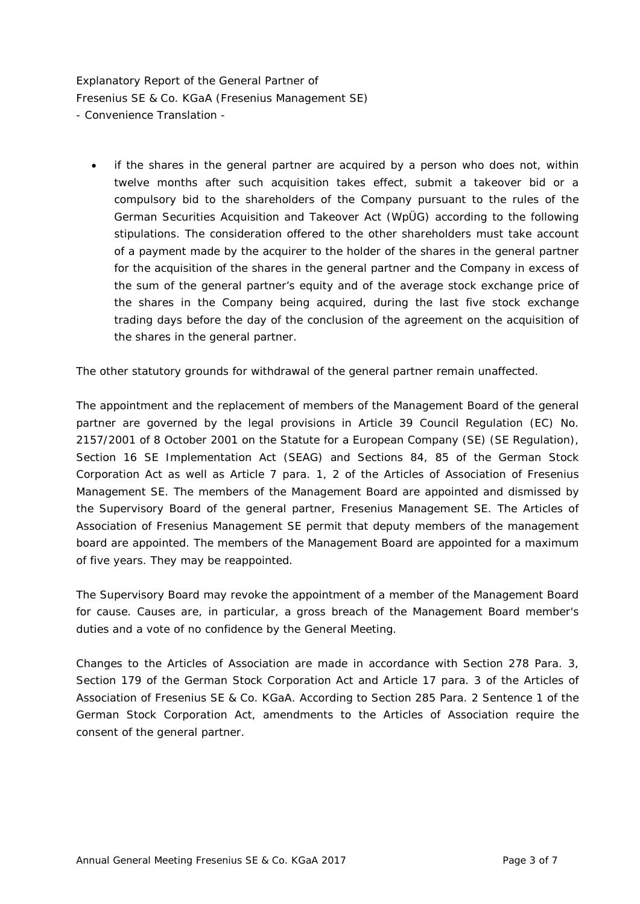• if the shares in the general partner are acquired by a person who does not, within twelve months after such acquisition takes effect, submit a takeover bid or a compulsory bid to the shareholders of the Company pursuant to the rules of the German Securities Acquisition and Takeover Act (WpÜG) according to the following stipulations. The consideration offered to the other shareholders must take account of a payment made by the acquirer to the holder of the shares in the general partner for the acquisition of the shares in the general partner and the Company in excess of the sum of the general partner's equity and of the average stock exchange price of the shares in the Company being acquired, during the last five stock exchange trading days before the day of the conclusion of the agreement on the acquisition of the shares in the general partner.

The other statutory grounds for withdrawal of the general partner remain unaffected.

The appointment and the replacement of members of the Management Board of the general partner are governed by the legal provisions in Article 39 Council Regulation (EC) No. 2157/2001 of 8 October 2001 on the Statute for a European Company (SE) (SE Regulation), Section 16 SE Implementation Act (SEAG) and Sections 84, 85 of the German Stock Corporation Act as well as Article 7 para. 1, 2 of the Articles of Association of Fresenius Management SE. The members of the Management Board are appointed and dismissed by the Supervisory Board of the general partner, Fresenius Management SE. The Articles of Association of Fresenius Management SE permit that deputy members of the management board are appointed. The members of the Management Board are appointed for a maximum of five years. They may be reappointed.

The Supervisory Board may revoke the appointment of a member of the Management Board for cause. Causes are, in particular, a gross breach of the Management Board member's duties and a vote of no confidence by the General Meeting.

Changes to the Articles of Association are made in accordance with Section 278 Para. 3, Section 179 of the German Stock Corporation Act and Article 17 para. 3 of the Articles of Association of Fresenius SE & Co. KGaA. According to Section 285 Para. 2 Sentence 1 of the German Stock Corporation Act, amendments to the Articles of Association require the consent of the general partner.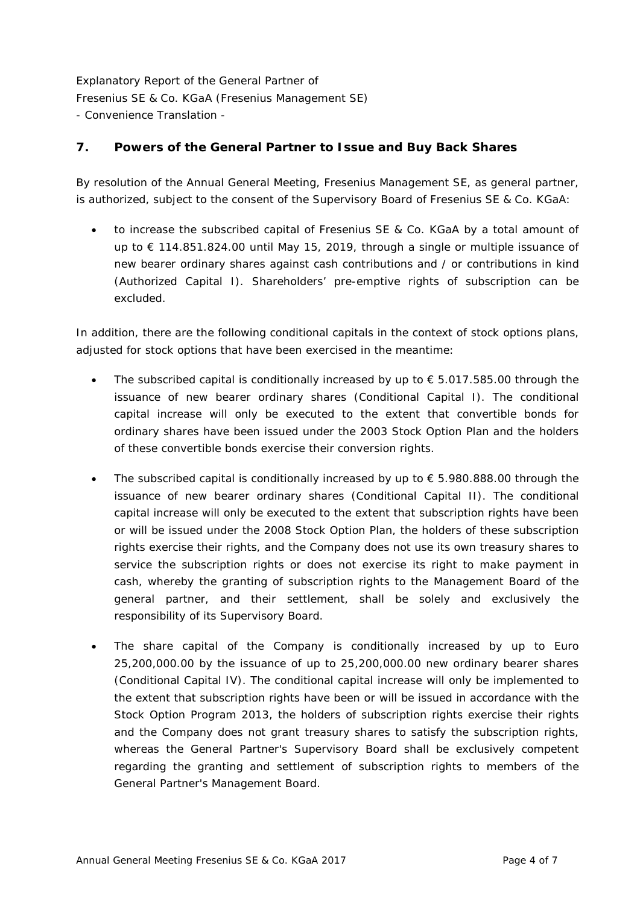#### **7. Powers of the General Partner to Issue and Buy Back Shares**

By resolution of the Annual General Meeting, Fresenius Management SE, as general partner, is authorized, subject to the consent of the Supervisory Board of Fresenius SE & Co. KGaA:

• to increase the subscribed capital of Fresenius SE & Co. KGaA by a total amount of up to € 114.851.824.00 until May 15, 2019, through a single or multiple issuance of new bearer ordinary shares against cash contributions and / or contributions in kind (Authorized Capital I). Shareholders' pre-emptive rights of subscription can be excluded.

In addition, there are the following conditional capitals in the context of stock options plans, adjusted for stock options that have been exercised in the meantime:

- The subscribed capital is conditionally increased by up to  $\epsilon$  5.017.585.00 through the issuance of new bearer ordinary shares (Conditional Capital I). The conditional capital increase will only be executed to the extent that convertible bonds for ordinary shares have been issued under the 2003 Stock Option Plan and the holders of these convertible bonds exercise their conversion rights.
- The subscribed capital is conditionally increased by up to  $\epsilon$  5.980.888.00 through the issuance of new bearer ordinary shares (Conditional Capital II). The conditional capital increase will only be executed to the extent that subscription rights have been or will be issued under the 2008 Stock Option Plan, the holders of these subscription rights exercise their rights, and the Company does not use its own treasury shares to service the subscription rights or does not exercise its right to make payment in cash, whereby the granting of subscription rights to the Management Board of the general partner, and their settlement, shall be solely and exclusively the responsibility of its Supervisory Board.
- The share capital of the Company is conditionally increased by up to Euro 25,200,000.00 by the issuance of up to 25,200,000.00 new ordinary bearer shares (Conditional Capital IV). The conditional capital increase will only be implemented to the extent that subscription rights have been or will be issued in accordance with the Stock Option Program 2013, the holders of subscription rights exercise their rights and the Company does not grant treasury shares to satisfy the subscription rights, whereas the General Partner's Supervisory Board shall be exclusively competent regarding the granting and settlement of subscription rights to members of the General Partner's Management Board.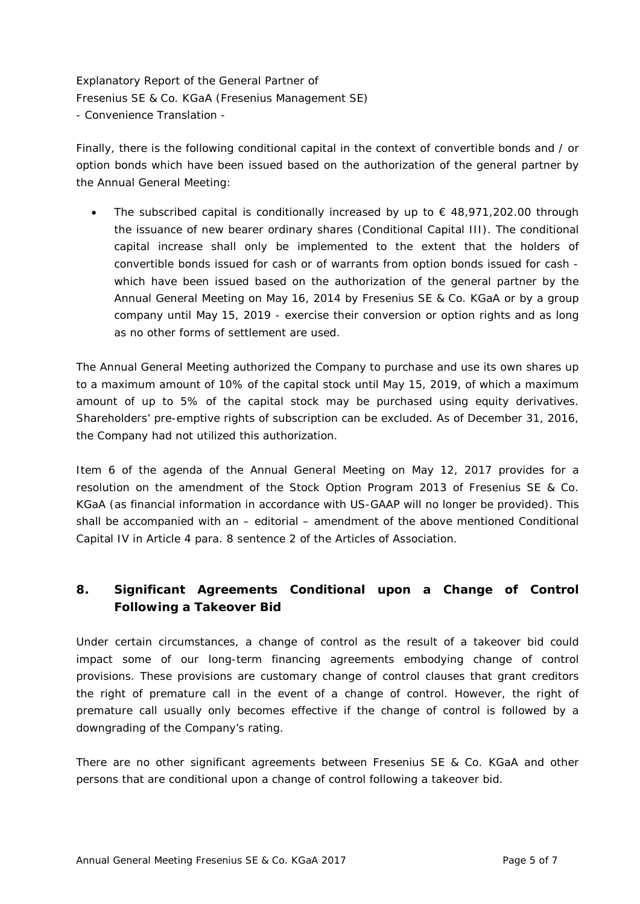Finally, there is the following conditional capital in the context of convertible bonds and / or option bonds which have been issued based on the authorization of the general partner by the Annual General Meeting:

The subscribed capital is conditionally increased by up to  $\epsilon$  48,971,202.00 through the issuance of new bearer ordinary shares (Conditional Capital III). The conditional capital increase shall only be implemented to the extent that the holders of convertible bonds issued for cash or of warrants from option bonds issued for cash which have been issued based on the authorization of the general partner by the Annual General Meeting on May 16, 2014 by Fresenius SE & Co. KGaA or by a group company until May 15, 2019 - exercise their conversion or option rights and as long as no other forms of settlement are used.

The Annual General Meeting authorized the Company to purchase and use its own shares up to a maximum amount of 10% of the capital stock until May 15, 2019, of which a maximum amount of up to 5% of the capital stock may be purchased using equity derivatives. Shareholders' pre-emptive rights of subscription can be excluded. As of December 31, 2016, the Company had not utilized this authorization.

Item 6 of the agenda of the Annual General Meeting on May 12, 2017 provides for a resolution on the amendment of the Stock Option Program 2013 of Fresenius SE & Co. KGaA (as financial information in accordance with US-GAAP will no longer be provided). This shall be accompanied with an – editorial – amendment of the above mentioned Conditional Capital IV in Article 4 para. 8 sentence 2 of the Articles of Association.

### **8. Significant Agreements Conditional upon a Change of Control Following a Takeover Bid**

Under certain circumstances, a change of control as the result of a takeover bid could impact some of our long-term financing agreements embodying change of control provisions. These provisions are customary change of control clauses that grant creditors the right of premature call in the event of a change of control. However, the right of premature call usually only becomes effective if the change of control is followed by a downgrading of the Company's rating.

There are no other significant agreements between Fresenius SE & Co. KGaA and other persons that are conditional upon a change of control following a takeover bid.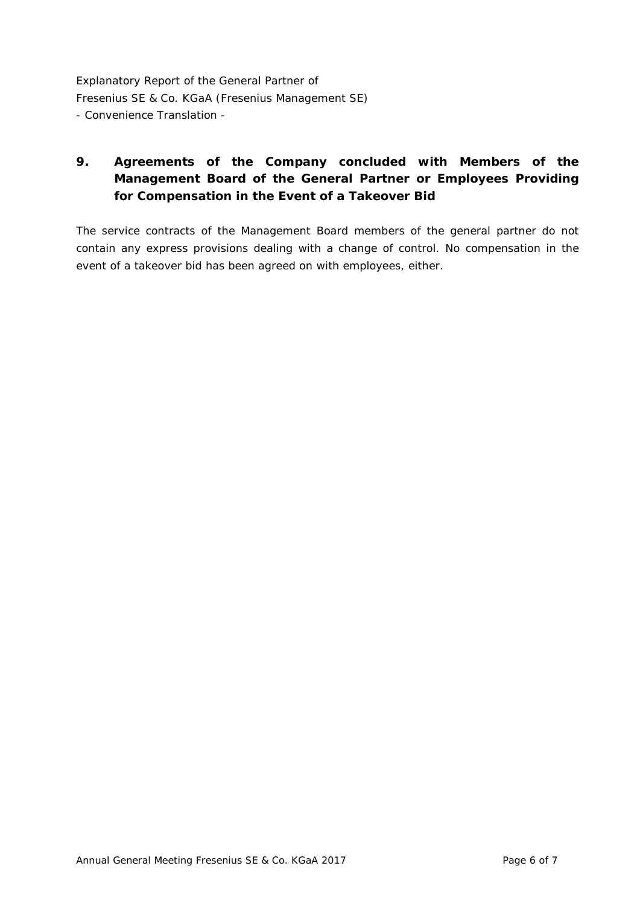## **9. Agreements of the Company concluded with Members of the Management Board of the General Partner or Employees Providing for Compensation in the Event of a Takeover Bid**

The service contracts of the Management Board members of the general partner do not contain any express provisions dealing with a change of control. No compensation in the event of a takeover bid has been agreed on with employees, either.